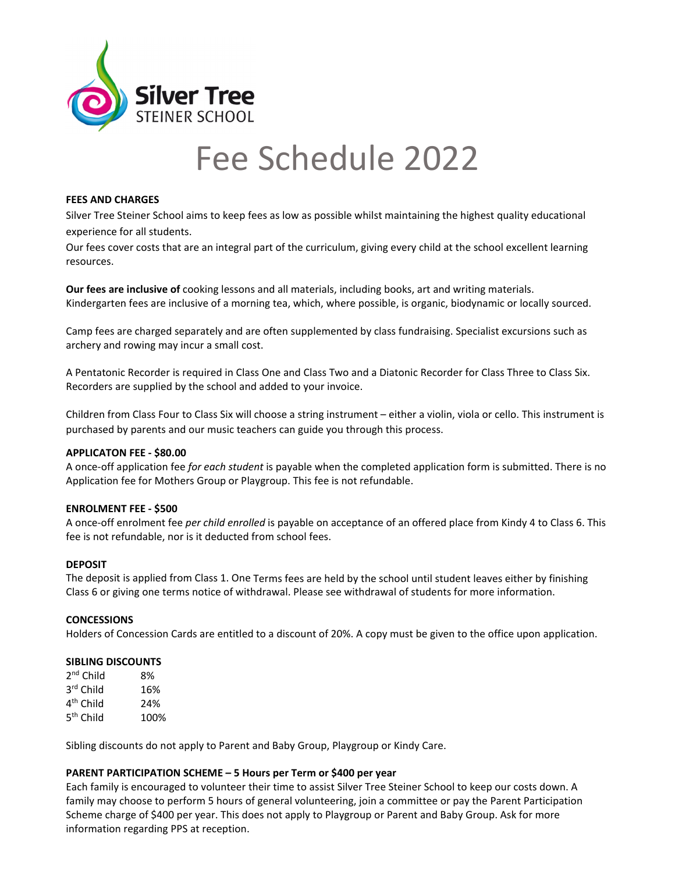

# Fee Schedule 2022

## **FEES AND CHARGES**

Silver Tree Steiner School aims to keep fees as low as possible whilst maintaining the highest quality educational experience for all students.

Our fees cover costs that are an integral part of the curriculum, giving every child at the school excellent learning resources.

**Our fees are inclusive of** cooking lessons and all materials, including books, art and writing materials. Kindergarten fees are inclusive of a morning tea, which, where possible, is organic, biodynamic or locally sourced.

Camp fees are charged separately and are often supplemented by class fundraising. Specialist excursions such as archery and rowing may incur a small cost.

A Pentatonic Recorder is required in Class One and Class Two and a Diatonic Recorder for Class Three to Class Six. Recorders are supplied by the school and added to your invoice.

Children from Class Four to Class Six will choose a string instrument – either a violin, viola or cello. This instrument is purchased by parents and our music teachers can guide you through this process.

## **APPLICATON FEE ‐ \$80.00**

A once‐off application fee *for each student* is payable when the completed application form is submitted. There is no Application fee for Mothers Group or Playgroup. This fee is not refundable.

## **ENROLMENT FEE ‐ \$500**

A once‐off enrolment fee *per child enrolled* is payable on acceptance of an offered place from Kindy 4 to Class 6. This fee is not refundable, nor is it deducted from school fees.

## **DEPOSIT**

The deposit is applied from Class 1. One Terms fees are held by the school until student leaves either by finishing Class 6 or giving one terms notice of withdrawal. Please see withdrawal of students for more information.

## **CONCESSIONS**

Holders of Concession Cards are entitled to a discount of 20%. A copy must be given to the office upon application.

## **SIBLING DISCOUNTS**

| 2 <sup>nd</sup> Child | 8%   |
|-----------------------|------|
| 3rd Child             | 16%  |
| 4 <sup>th</sup> Child | 24%  |
| 5 <sup>th</sup> Child | 100% |

Sibling discounts do not apply to Parent and Baby Group, Playgroup or Kindy Care.

## **PARENT PARTICIPATION SCHEME – 5 Hours per Term or \$400 per year**

Each family is encouraged to volunteer their time to assist Silver Tree Steiner School to keep our costs down. A family may choose to perform 5 hours of general volunteering, join a committee or pay the Parent Participation Scheme charge of \$400 per year. This does not apply to Playgroup or Parent and Baby Group. Ask for more information regarding PPS at reception.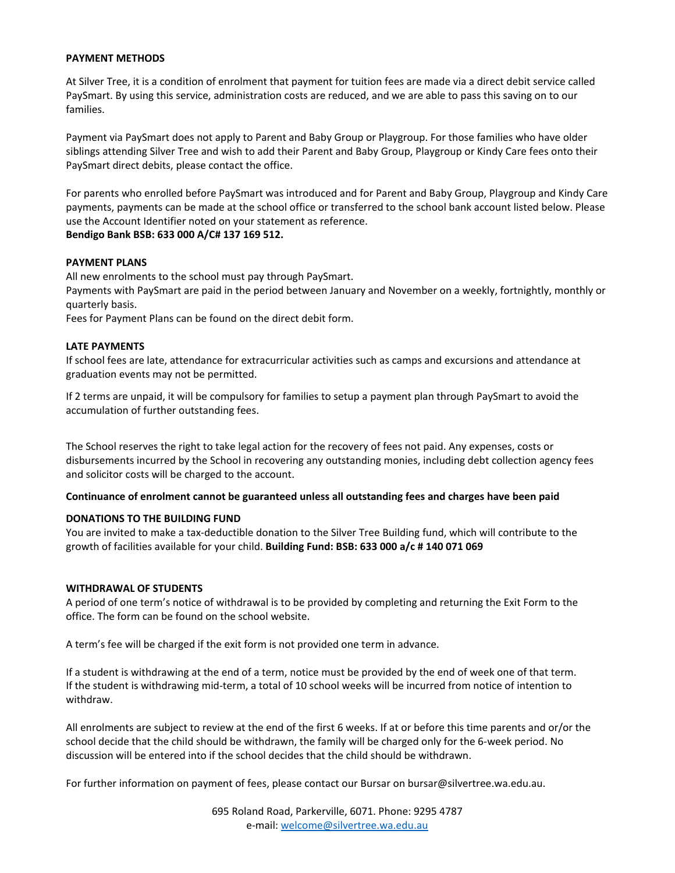## **PAYMENT METHODS**

At Silver Tree, it is a condition of enrolment that payment for tuition fees are made via a direct debit service called PaySmart. By using this service, administration costs are reduced, and we are able to pass this saving on to our families.

Payment via PaySmart does not apply to Parent and Baby Group or Playgroup. For those families who have older siblings attending Silver Tree and wish to add their Parent and Baby Group, Playgroup or Kindy Care fees onto their PaySmart direct debits, please contact the office.

For parents who enrolled before PaySmart was introduced and for Parent and Baby Group, Playgroup and Kindy Care payments, payments can be made at the school office or transferred to the school bank account listed below. Please use the Account Identifier noted on your statement as reference.

# **Bendigo Bank BSB: 633 000 A/C# 137 169 512.**

## **PAYMENT PLANS**

All new enrolments to the school must pay through PaySmart.

Payments with PaySmart are paid in the period between January and November on a weekly, fortnightly, monthly or quarterly basis.

Fees for Payment Plans can be found on the direct debit form.

#### **LATE PAYMENTS**

If school fees are late, attendance for extracurricular activities such as camps and excursions and attendance at graduation events may not be permitted.

If 2 terms are unpaid, it will be compulsory for families to setup a payment plan through PaySmart to avoid the accumulation of further outstanding fees.

The School reserves the right to take legal action for the recovery of fees not paid. Any expenses, costs or disbursements incurred by the School in recovering any outstanding monies, including debt collection agency fees and solicitor costs will be charged to the account.

#### **Continuance of enrolment cannot be guaranteed unless all outstanding fees and charges have been paid**

#### **DONATIONS TO THE BUILDING FUND**

You are invited to make a tax‐deductible donation to the Silver Tree Building fund, which will contribute to the growth of facilities available for your child. **Building Fund: BSB: 633 000 a/c # 140 071 069**

#### **WITHDRAWAL OF STUDENTS**

A period of one term's notice of withdrawal is to be provided by completing and returning the Exit Form to the office. The form can be found on the school website.

A term's fee will be charged if the exit form is not provided one term in advance.

If a student is withdrawing at the end of a term, notice must be provided by the end of week one of that term. If the student is withdrawing mid‐term, a total of 10 school weeks will be incurred from notice of intention to withdraw.

All enrolments are subject to review at the end of the first 6 weeks. If at or before this time parents and or/or the school decide that the child should be withdrawn, the family will be charged only for the 6‐week period. No discussion will be entered into if the school decides that the child should be withdrawn.

For further information on payment of fees, please contact our Bursar on bursar@silvertree.wa.edu.au.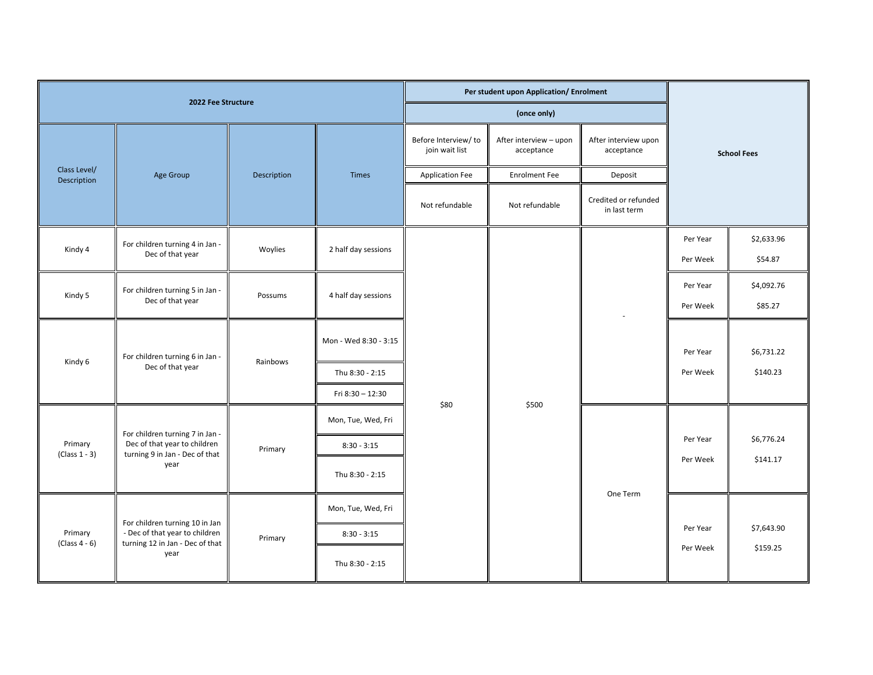|                                               |                                                                                                             | Per student upon Application/Enrolment |                       |                                       |                                      |                                      |                    |            |
|-----------------------------------------------|-------------------------------------------------------------------------------------------------------------|----------------------------------------|-----------------------|---------------------------------------|--------------------------------------|--------------------------------------|--------------------|------------|
| 2022 Fee Structure                            |                                                                                                             |                                        | (once only)           |                                       |                                      |                                      |                    |            |
|                                               |                                                                                                             |                                        |                       | Before Interview/to<br>join wait list | After interview - upon<br>acceptance | After interview upon<br>acceptance   | <b>School Fees</b> |            |
| Class Level/<br>Description                   | Age Group                                                                                                   | Description                            | <b>Times</b>          | <b>Application Fee</b>                | <b>Enrolment Fee</b>                 | Deposit                              |                    |            |
|                                               |                                                                                                             |                                        |                       | Not refundable                        | Not refundable                       | Credited or refunded<br>in last term |                    |            |
|                                               | For children turning 4 in Jan -                                                                             |                                        |                       |                                       |                                      |                                      | Per Year           | \$2,633.96 |
| Kindy 4                                       | Dec of that year                                                                                            | Woylies                                | 2 half day sessions   |                                       | \$500                                |                                      | Per Week           | \$54.87    |
| Kindy 5                                       | For children turning 5 in Jan -<br>Dec of that year                                                         | Possums                                | 4 half day sessions   |                                       |                                      |                                      | Per Year           | \$4,092.76 |
|                                               |                                                                                                             |                                        |                       |                                       |                                      |                                      | Per Week           | \$85.27    |
| Kindy 6                                       | For children turning 6 in Jan -<br>Dec of that year                                                         | Rainbows                               | Mon - Wed 8:30 - 3:15 |                                       |                                      |                                      | Per Year           | \$6,731.22 |
|                                               |                                                                                                             |                                        | Thu 8:30 - 2:15       |                                       |                                      |                                      | Per Week           | \$140.23   |
|                                               |                                                                                                             |                                        | Fri 8:30 - 12:30      |                                       |                                      |                                      |                    |            |
| Primary<br>$\left(\text{Class } 1 - 3\right)$ | For children turning 7 in Jan -<br>Dec of that year to children<br>turning 9 in Jan - Dec of that<br>year   | Primary                                | Mon, Tue, Wed, Fri    | \$80                                  |                                      |                                      |                    |            |
|                                               |                                                                                                             |                                        | $8:30 - 3:15$         |                                       |                                      |                                      | Per Year           | \$6,776.24 |
|                                               |                                                                                                             |                                        | Thu 8:30 - 2:15       |                                       |                                      | One Term                             | Per Week           | \$141.17   |
| Primary<br>$(Class 4 - 6)$                    | For children turning 10 in Jan<br>- Dec of that year to children<br>turning 12 in Jan - Dec of that<br>year | Primary                                | Mon, Tue, Wed, Fri    |                                       |                                      |                                      |                    |            |
|                                               |                                                                                                             |                                        | $8:30 - 3:15$         |                                       |                                      |                                      | Per Year           | \$7,643.90 |
|                                               |                                                                                                             |                                        | Thu 8:30 - 2:15       |                                       |                                      |                                      | Per Week           | \$159.25   |